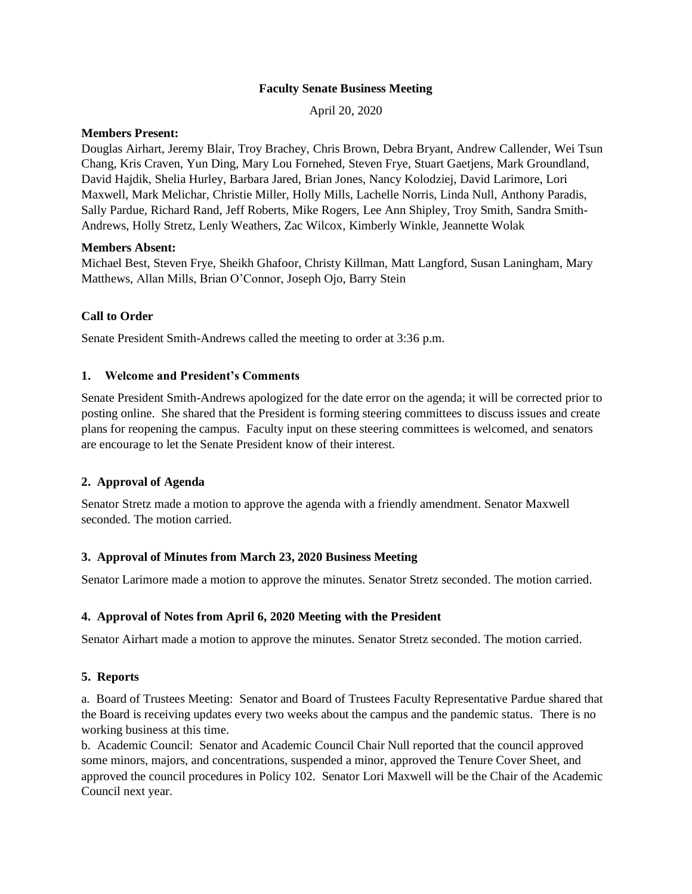### **Faculty Senate Business Meeting**

April 20, 2020

### **Members Present:**

Douglas Airhart, Jeremy Blair, Troy Brachey, Chris Brown, Debra Bryant, Andrew Callender, Wei Tsun Chang, Kris Craven, Yun Ding, Mary Lou Fornehed, Steven Frye, Stuart Gaetjens, Mark Groundland, David Hajdik, Shelia Hurley, Barbara Jared, Brian Jones, Nancy Kolodziej, David Larimore, Lori Maxwell, Mark Melichar, Christie Miller, Holly Mills, Lachelle Norris, Linda Null, Anthony Paradis, Sally Pardue, Richard Rand, Jeff Roberts, Mike Rogers, Lee Ann Shipley, Troy Smith, Sandra Smith-Andrews, Holly Stretz, Lenly Weathers, Zac Wilcox, Kimberly Winkle, Jeannette Wolak

#### **Members Absent:**

Michael Best, Steven Frye, Sheikh Ghafoor, Christy Killman, Matt Langford, Susan Laningham, Mary Matthews, Allan Mills, Brian O'Connor, Joseph Ojo, Barry Stein

### **Call to Order**

Senate President Smith-Andrews called the meeting to order at 3:36 p.m.

### **1. Welcome and President's Comments**

Senate President Smith-Andrews apologized for the date error on the agenda; it will be corrected prior to posting online. She shared that the President is forming steering committees to discuss issues and create plans for reopening the campus. Faculty input on these steering committees is welcomed, and senators are encourage to let the Senate President know of their interest.

### **2. Approval of Agenda**

Senator Stretz made a motion to approve the agenda with a friendly amendment. Senator Maxwell seconded. The motion carried.

### **3. Approval of Minutes from March 23, 2020 Business Meeting**

Senator Larimore made a motion to approve the minutes. Senator Stretz seconded. The motion carried.

### **4. Approval of Notes from April 6, 2020 Meeting with the President**

Senator Airhart made a motion to approve the minutes. Senator Stretz seconded. The motion carried.

### **5. Reports**

a. Board of Trustees Meeting: Senator and Board of Trustees Faculty Representative Pardue shared that the Board is receiving updates every two weeks about the campus and the pandemic status. There is no working business at this time.

b. Academic Council: Senator and Academic Council Chair Null reported that the council approved some minors, majors, and concentrations, suspended a minor, approved the Tenure Cover Sheet, and approved the council procedures in Policy 102. Senator Lori Maxwell will be the Chair of the Academic Council next year.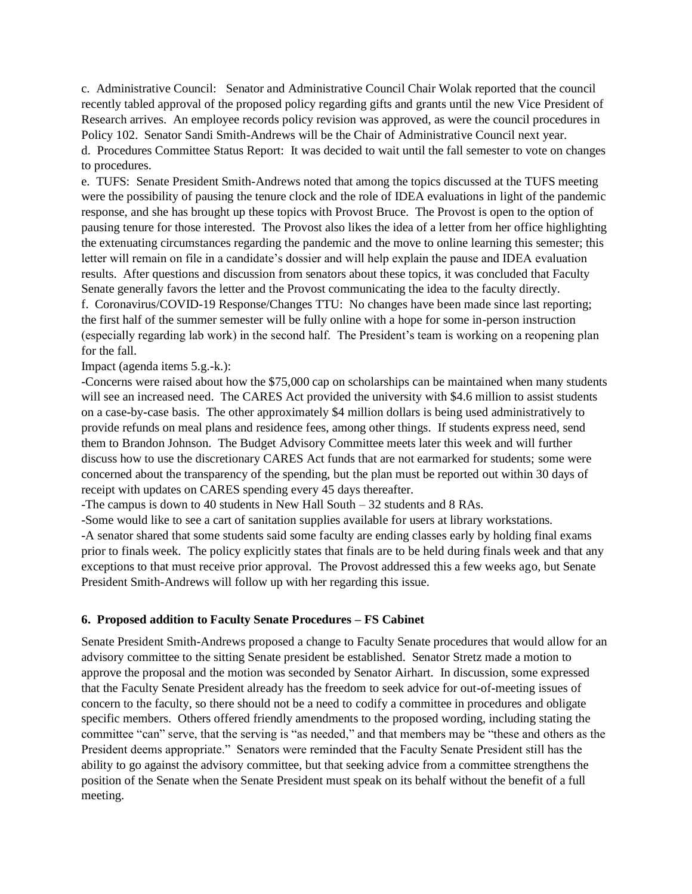c. Administrative Council: Senator and Administrative Council Chair Wolak reported that the council recently tabled approval of the proposed policy regarding gifts and grants until the new Vice President of Research arrives. An employee records policy revision was approved, as were the council procedures in Policy 102. Senator Sandi Smith-Andrews will be the Chair of Administrative Council next year.

d. Procedures Committee Status Report: It was decided to wait until the fall semester to vote on changes to procedures.

e. TUFS: Senate President Smith-Andrews noted that among the topics discussed at the TUFS meeting were the possibility of pausing the tenure clock and the role of IDEA evaluations in light of the pandemic response, and she has brought up these topics with Provost Bruce. The Provost is open to the option of pausing tenure for those interested. The Provost also likes the idea of a letter from her office highlighting the extenuating circumstances regarding the pandemic and the move to online learning this semester; this letter will remain on file in a candidate's dossier and will help explain the pause and IDEA evaluation results. After questions and discussion from senators about these topics, it was concluded that Faculty Senate generally favors the letter and the Provost communicating the idea to the faculty directly.

f. Coronavirus/COVID-19 Response/Changes TTU: No changes have been made since last reporting; the first half of the summer semester will be fully online with a hope for some in-person instruction (especially regarding lab work) in the second half. The President's team is working on a reopening plan for the fall.

Impact (agenda items 5.g.-k.):

-Concerns were raised about how the \$75,000 cap on scholarships can be maintained when many students will see an increased need. The CARES Act provided the university with \$4.6 million to assist students on a case-by-case basis. The other approximately \$4 million dollars is being used administratively to provide refunds on meal plans and residence fees, among other things. If students express need, send them to Brandon Johnson. The Budget Advisory Committee meets later this week and will further discuss how to use the discretionary CARES Act funds that are not earmarked for students; some were concerned about the transparency of the spending, but the plan must be reported out within 30 days of receipt with updates on CARES spending every 45 days thereafter.

-The campus is down to 40 students in New Hall South – 32 students and 8 RAs.

-Some would like to see a cart of sanitation supplies available for users at library workstations. -A senator shared that some students said some faculty are ending classes early by holding final exams prior to finals week. The policy explicitly states that finals are to be held during finals week and that any exceptions to that must receive prior approval. The Provost addressed this a few weeks ago, but Senate President Smith-Andrews will follow up with her regarding this issue.

### **6. Proposed addition to Faculty Senate Procedures – FS Cabinet**

Senate President Smith-Andrews proposed a change to Faculty Senate procedures that would allow for an advisory committee to the sitting Senate president be established. Senator Stretz made a motion to approve the proposal and the motion was seconded by Senator Airhart. In discussion, some expressed that the Faculty Senate President already has the freedom to seek advice for out-of-meeting issues of concern to the faculty, so there should not be a need to codify a committee in procedures and obligate specific members. Others offered friendly amendments to the proposed wording, including stating the committee "can" serve, that the serving is "as needed," and that members may be "these and others as the President deems appropriate." Senators were reminded that the Faculty Senate President still has the ability to go against the advisory committee, but that seeking advice from a committee strengthens the position of the Senate when the Senate President must speak on its behalf without the benefit of a full meeting.